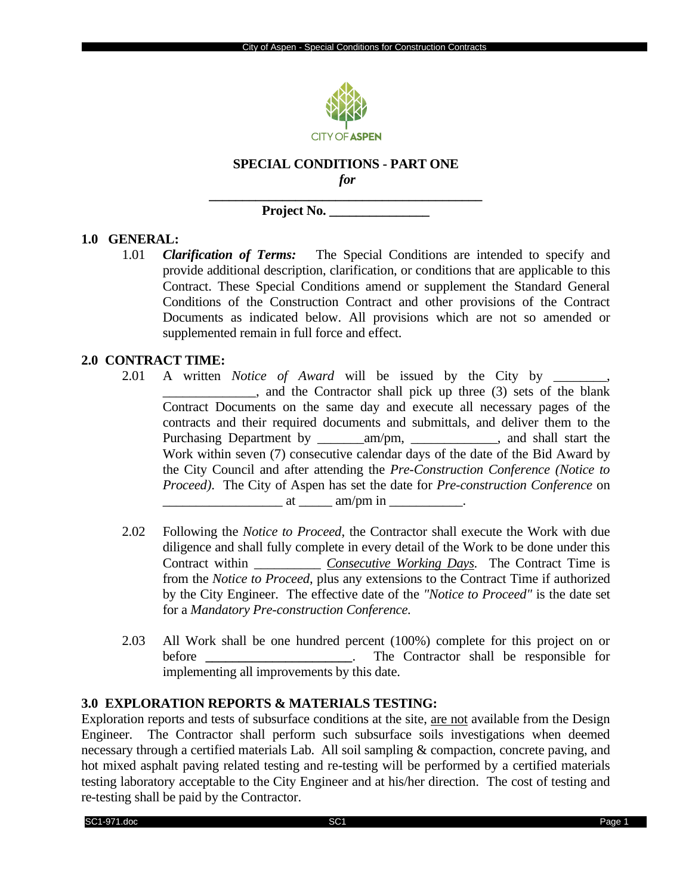

# **SPECIAL CONDITIONS - PART ONE**

*for* **\_\_\_\_\_\_\_\_\_\_\_\_\_\_\_\_\_\_\_\_\_\_\_\_\_\_\_\_\_\_\_\_\_\_\_\_\_\_\_\_\_**

**Project No. \_\_\_\_\_\_\_\_\_\_\_\_\_\_\_**

#### **1.0 GENERAL:**

1.01 *Clarification of Terms:* The Special Conditions are intended to specify and provide additional description, clarification, or conditions that are applicable to this Contract. These Special Conditions amend or supplement the Standard General Conditions of the Construction Contract and other provisions of the Contract Documents as indicated below. All provisions which are not so amended or supplemented remain in full force and effect.

#### **2.0 CONTRACT TIME:**

- 2.01 A written *Notice of Award* will be issued by the City by \_\_\_\_\_\_\_\_, \_\_\_\_\_\_\_\_\_\_\_\_\_\_, and the Contractor shall pick up three (3) sets of the blank Contract Documents on the same day and execute all necessary pages of the contracts and their required documents and submittals, and deliver them to the Purchasing Department by \_\_\_\_\_\_\_\_\_\_\_\_\_\_\_\_\_\_\_\_\_\_\_\_\_\_\_\_\_, and shall start the Work within seven (7) consecutive calendar days of the date of the Bid Award by the City Council and after attending the *Pre-Construction Conference (Notice to Proceed)*. The City of Aspen has set the date for *Pre-construction Conference* on  $\text{at } \underline{\hspace{1cm}} \text{am/pm in}$
- 2.02 Following the *Notice to Proceed*, the Contractor shall execute the Work with due diligence and shall fully complete in every detail of the Work to be done under this Contract within \_\_\_\_\_\_\_\_\_\_ *Consecutive Working Days*. The Contract Time is from the *Notice to Proceed*, plus any extensions to the Contract Time if authorized by the City Engineer. The effective date of the *"Notice to Proceed"* is the date set for a *Mandatory Pre-construction Conference.*
- 2.03 All Work shall be one hundred percent (100%) complete for this project on or before **\_\_\_\_\_\_\_\_\_\_\_\_\_\_\_\_\_\_\_\_\_\_**. The Contractor shall be responsible for implementing all improvements by this date.

# **3.0 EXPLORATION REPORTS & MATERIALS TESTING:**

Exploration reports and tests of subsurface conditions at the site, are not available from the Design Engineer. The Contractor shall perform such subsurface soils investigations when deemed necessary through a certified materials Lab. All soil sampling & compaction, concrete paving, and hot mixed asphalt paving related testing and re-testing will be performed by a certified materials testing laboratory acceptable to the City Engineer and at his/her direction. The cost of testing and re-testing shall be paid by the Contractor.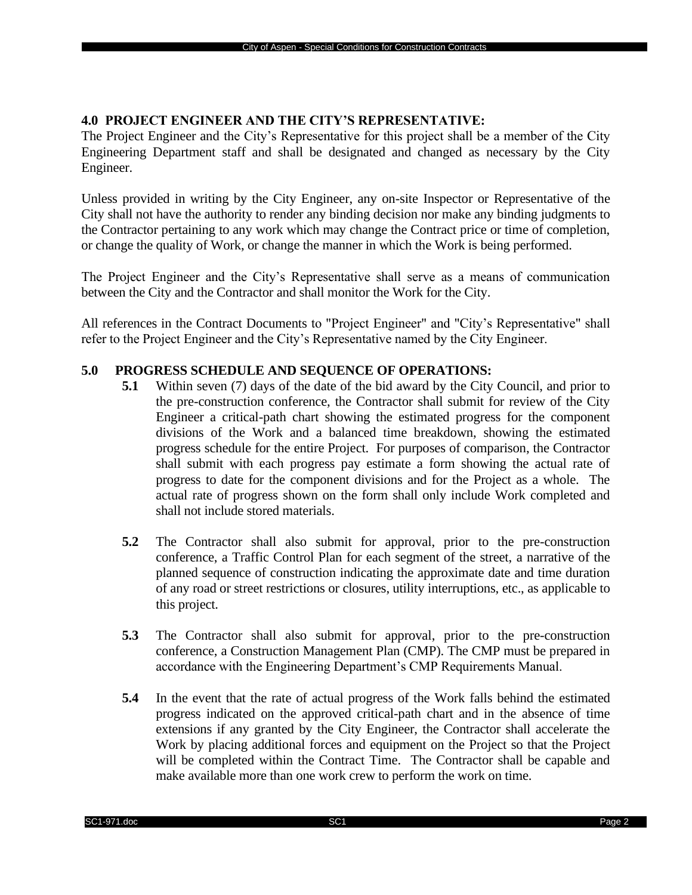### **4.0 PROJECT ENGINEER AND THE CITY'S REPRESENTATIVE:**

The Project Engineer and the City's Representative for this project shall be a member of the City Engineering Department staff and shall be designated and changed as necessary by the City Engineer.

Unless provided in writing by the City Engineer, any on-site Inspector or Representative of the City shall not have the authority to render any binding decision nor make any binding judgments to the Contractor pertaining to any work which may change the Contract price or time of completion, or change the quality of Work, or change the manner in which the Work is being performed.

The Project Engineer and the City's Representative shall serve as a means of communication between the City and the Contractor and shall monitor the Work for the City.

All references in the Contract Documents to "Project Engineer" and "City's Representative" shall refer to the Project Engineer and the City's Representative named by the City Engineer.

#### **5.0 PROGRESS SCHEDULE AND SEQUENCE OF OPERATIONS:**

- **5.1** Within seven (7) days of the date of the bid award by the City Council, and prior to the pre-construction conference, the Contractor shall submit for review of the City Engineer a critical-path chart showing the estimated progress for the component divisions of the Work and a balanced time breakdown, showing the estimated progress schedule for the entire Project. For purposes of comparison, the Contractor shall submit with each progress pay estimate a form showing the actual rate of progress to date for the component divisions and for the Project as a whole. The actual rate of progress shown on the form shall only include Work completed and shall not include stored materials.
- **5.2** The Contractor shall also submit for approval, prior to the pre-construction conference, a Traffic Control Plan for each segment of the street, a narrative of the planned sequence of construction indicating the approximate date and time duration of any road or street restrictions or closures, utility interruptions, etc., as applicable to this project.
- **5.3** The Contractor shall also submit for approval, prior to the pre-construction conference, a Construction Management Plan (CMP). The CMP must be prepared in accordance with the Engineering Department's CMP Requirements Manual.
- **5.4** In the event that the rate of actual progress of the Work falls behind the estimated progress indicated on the approved critical-path chart and in the absence of time extensions if any granted by the City Engineer, the Contractor shall accelerate the Work by placing additional forces and equipment on the Project so that the Project will be completed within the Contract Time. The Contractor shall be capable and make available more than one work crew to perform the work on time.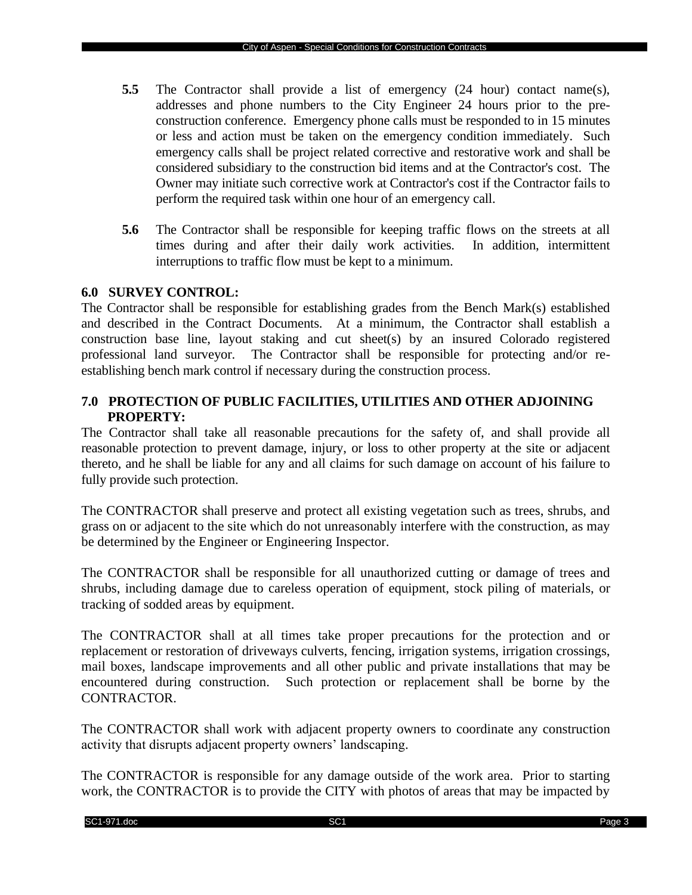- **5.5** The Contractor shall provide a list of emergency (24 hour) contact name(s), addresses and phone numbers to the City Engineer 24 hours prior to the preconstruction conference. Emergency phone calls must be responded to in 15 minutes or less and action must be taken on the emergency condition immediately. Such emergency calls shall be project related corrective and restorative work and shall be considered subsidiary to the construction bid items and at the Contractor's cost. The Owner may initiate such corrective work at Contractor's cost if the Contractor fails to perform the required task within one hour of an emergency call.
- **5.6** The Contractor shall be responsible for keeping traffic flows on the streets at all times during and after their daily work activities. In addition, intermittent interruptions to traffic flow must be kept to a minimum.

#### **6.0 SURVEY CONTROL:**

The Contractor shall be responsible for establishing grades from the Bench Mark(s) established and described in the Contract Documents. At a minimum, the Contractor shall establish a construction base line, layout staking and cut sheet(s) by an insured Colorado registered professional land surveyor. The Contractor shall be responsible for protecting and/or reestablishing bench mark control if necessary during the construction process.

# **7.0 PROTECTION OF PUBLIC FACILITIES, UTILITIES AND OTHER ADJOINING PROPERTY:**

The Contractor shall take all reasonable precautions for the safety of, and shall provide all reasonable protection to prevent damage, injury, or loss to other property at the site or adjacent thereto, and he shall be liable for any and all claims for such damage on account of his failure to fully provide such protection.

The CONTRACTOR shall preserve and protect all existing vegetation such as trees, shrubs, and grass on or adjacent to the site which do not unreasonably interfere with the construction, as may be determined by the Engineer or Engineering Inspector.

The CONTRACTOR shall be responsible for all unauthorized cutting or damage of trees and shrubs, including damage due to careless operation of equipment, stock piling of materials, or tracking of sodded areas by equipment.

The CONTRACTOR shall at all times take proper precautions for the protection and or replacement or restoration of driveways culverts, fencing, irrigation systems, irrigation crossings, mail boxes, landscape improvements and all other public and private installations that may be encountered during construction. Such protection or replacement shall be borne by the CONTRACTOR.

The CONTRACTOR shall work with adjacent property owners to coordinate any construction activity that disrupts adjacent property owners' landscaping.

The CONTRACTOR is responsible for any damage outside of the work area. Prior to starting work, the CONTRACTOR is to provide the CITY with photos of areas that may be impacted by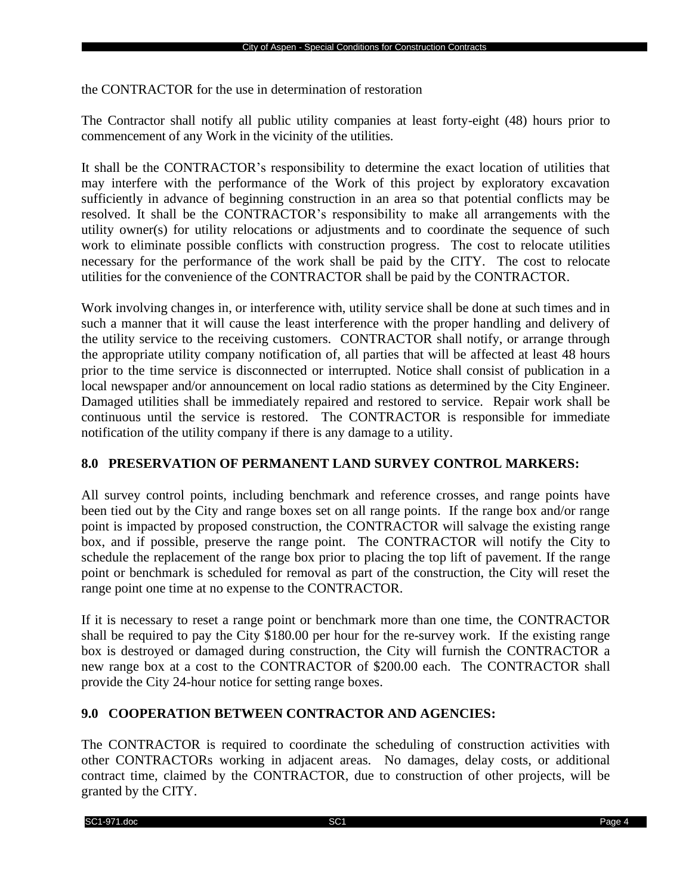the CONTRACTOR for the use in determination of restoration

The Contractor shall notify all public utility companies at least forty-eight (48) hours prior to commencement of any Work in the vicinity of the utilities.

It shall be the CONTRACTOR's responsibility to determine the exact location of utilities that may interfere with the performance of the Work of this project by exploratory excavation sufficiently in advance of beginning construction in an area so that potential conflicts may be resolved. It shall be the CONTRACTOR's responsibility to make all arrangements with the utility owner(s) for utility relocations or adjustments and to coordinate the sequence of such work to eliminate possible conflicts with construction progress. The cost to relocate utilities necessary for the performance of the work shall be paid by the CITY. The cost to relocate utilities for the convenience of the CONTRACTOR shall be paid by the CONTRACTOR.

Work involving changes in, or interference with, utility service shall be done at such times and in such a manner that it will cause the least interference with the proper handling and delivery of the utility service to the receiving customers. CONTRACTOR shall notify, or arrange through the appropriate utility company notification of, all parties that will be affected at least 48 hours prior to the time service is disconnected or interrupted. Notice shall consist of publication in a local newspaper and/or announcement on local radio stations as determined by the City Engineer. Damaged utilities shall be immediately repaired and restored to service. Repair work shall be continuous until the service is restored. The CONTRACTOR is responsible for immediate notification of the utility company if there is any damage to a utility.

# **8.0 PRESERVATION OF PERMANENT LAND SURVEY CONTROL MARKERS:**

All survey control points, including benchmark and reference crosses, and range points have been tied out by the City and range boxes set on all range points. If the range box and/or range point is impacted by proposed construction, the CONTRACTOR will salvage the existing range box, and if possible, preserve the range point. The CONTRACTOR will notify the City to schedule the replacement of the range box prior to placing the top lift of pavement. If the range point or benchmark is scheduled for removal as part of the construction, the City will reset the range point one time at no expense to the CONTRACTOR.

If it is necessary to reset a range point or benchmark more than one time, the CONTRACTOR shall be required to pay the City \$180.00 per hour for the re-survey work. If the existing range box is destroyed or damaged during construction, the City will furnish the CONTRACTOR a new range box at a cost to the CONTRACTOR of \$200.00 each. The CONTRACTOR shall provide the City 24-hour notice for setting range boxes.

# **9.0 COOPERATION BETWEEN CONTRACTOR AND AGENCIES:**

The CONTRACTOR is required to coordinate the scheduling of construction activities with other CONTRACTORs working in adjacent areas. No damages, delay costs, or additional contract time, claimed by the CONTRACTOR, due to construction of other projects, will be granted by the CITY.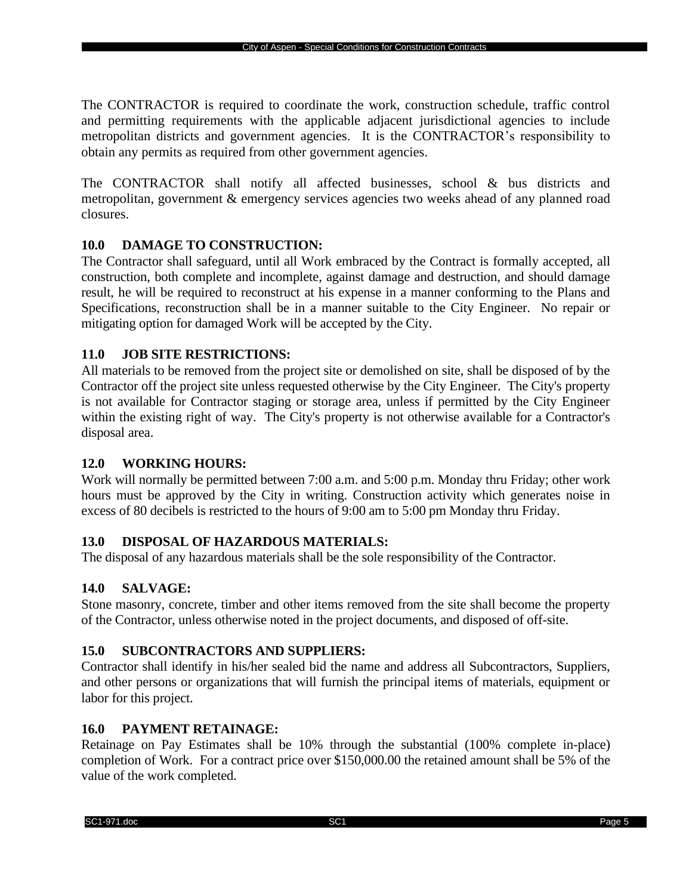The CONTRACTOR is required to coordinate the work, construction schedule, traffic control and permitting requirements with the applicable adjacent jurisdictional agencies to include metropolitan districts and government agencies. It is the CONTRACTOR's responsibility to obtain any permits as required from other government agencies.

The CONTRACTOR shall notify all affected businesses, school & bus districts and metropolitan, government & emergency services agencies two weeks ahead of any planned road closures.

# **10.0 DAMAGE TO CONSTRUCTION:**

The Contractor shall safeguard, until all Work embraced by the Contract is formally accepted, all construction, both complete and incomplete, against damage and destruction, and should damage result, he will be required to reconstruct at his expense in a manner conforming to the Plans and Specifications, reconstruction shall be in a manner suitable to the City Engineer. No repair or mitigating option for damaged Work will be accepted by the City.

# **11.0 JOB SITE RESTRICTIONS:**

All materials to be removed from the project site or demolished on site, shall be disposed of by the Contractor off the project site unless requested otherwise by the City Engineer. The City's property is not available for Contractor staging or storage area, unless if permitted by the City Engineer within the existing right of way. The City's property is not otherwise available for a Contractor's disposal area.

# **12.0 WORKING HOURS:**

Work will normally be permitted between 7:00 a.m. and 5:00 p.m. Monday thru Friday; other work hours must be approved by the City in writing. Construction activity which generates noise in excess of 80 decibels is restricted to the hours of 9:00 am to 5:00 pm Monday thru Friday.

# **13.0 DISPOSAL OF HAZARDOUS MATERIALS:**

The disposal of any hazardous materials shall be the sole responsibility of the Contractor.

# **14.0 SALVAGE:**

Stone masonry, concrete, timber and other items removed from the site shall become the property of the Contractor, unless otherwise noted in the project documents, and disposed of off-site.

# **15.0 SUBCONTRACTORS AND SUPPLIERS:**

Contractor shall identify in his/her sealed bid the name and address all Subcontractors, Suppliers, and other persons or organizations that will furnish the principal items of materials, equipment or labor for this project.

# **16.0 PAYMENT RETAINAGE:**

Retainage on Pay Estimates shall be 10% through the substantial (100% complete in-place) completion of Work. For a contract price over \$150,000.00 the retained amount shall be 5% of the value of the work completed.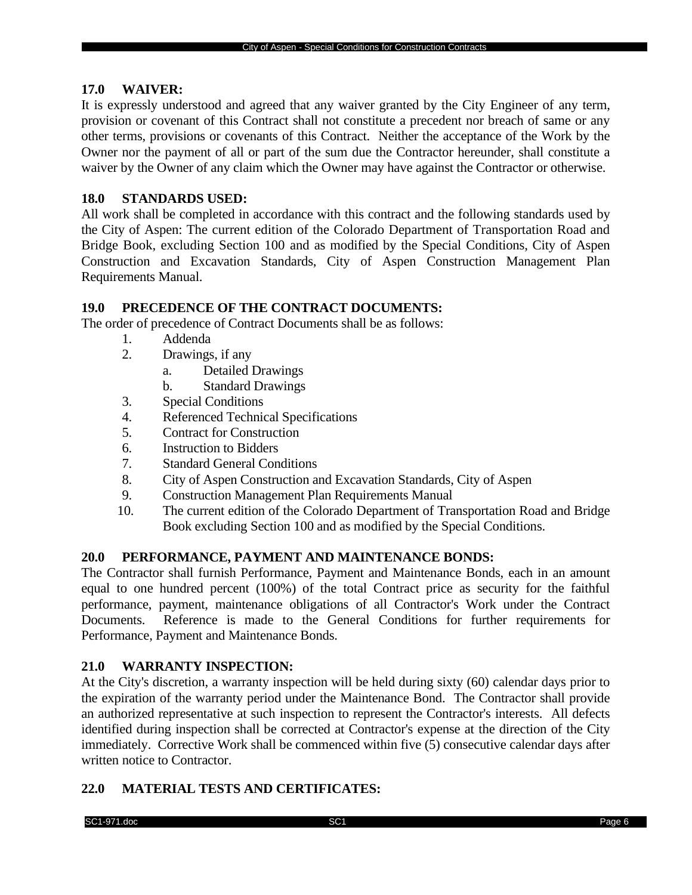#### **17.0 WAIVER:**

It is expressly understood and agreed that any waiver granted by the City Engineer of any term, provision or covenant of this Contract shall not constitute a precedent nor breach of same or any other terms, provisions or covenants of this Contract. Neither the acceptance of the Work by the Owner nor the payment of all or part of the sum due the Contractor hereunder, shall constitute a waiver by the Owner of any claim which the Owner may have against the Contractor or otherwise.

### **18.0 STANDARDS USED:**

All work shall be completed in accordance with this contract and the following standards used by the City of Aspen: The current edition of the Colorado Department of Transportation Road and Bridge Book, excluding Section 100 and as modified by the Special Conditions, City of Aspen Construction and Excavation Standards, City of Aspen Construction Management Plan Requirements Manual.

#### **19.0 PRECEDENCE OF THE CONTRACT DOCUMENTS:**

The order of precedence of Contract Documents shall be as follows:

- 1. Addenda
- 2. Drawings, if any
	- a. Detailed Drawings
	- b. Standard Drawings
- 3. Special Conditions
- 4. Referenced Technical Specifications
- 5. Contract for Construction
- 6. Instruction to Bidders
- 7. Standard General Conditions
- 8. City of Aspen Construction and Excavation Standards, City of Aspen
- 9. Construction Management Plan Requirements Manual
- 10. The current edition of the Colorado Department of Transportation Road and Bridge Book excluding Section 100 and as modified by the Special Conditions.

#### **20.0 PERFORMANCE, PAYMENT AND MAINTENANCE BONDS:**

The Contractor shall furnish Performance, Payment and Maintenance Bonds, each in an amount equal to one hundred percent (100%) of the total Contract price as security for the faithful performance, payment, maintenance obligations of all Contractor's Work under the Contract Documents. Reference is made to the General Conditions for further requirements for Performance, Payment and Maintenance Bonds.

# **21.0 WARRANTY INSPECTION:**

At the City's discretion, a warranty inspection will be held during sixty (60) calendar days prior to the expiration of the warranty period under the Maintenance Bond. The Contractor shall provide an authorized representative at such inspection to represent the Contractor's interests. All defects identified during inspection shall be corrected at Contractor's expense at the direction of the City immediately. Corrective Work shall be commenced within five (5) consecutive calendar days after written notice to Contractor.

#### **22.0 MATERIAL TESTS AND CERTIFICATES:**